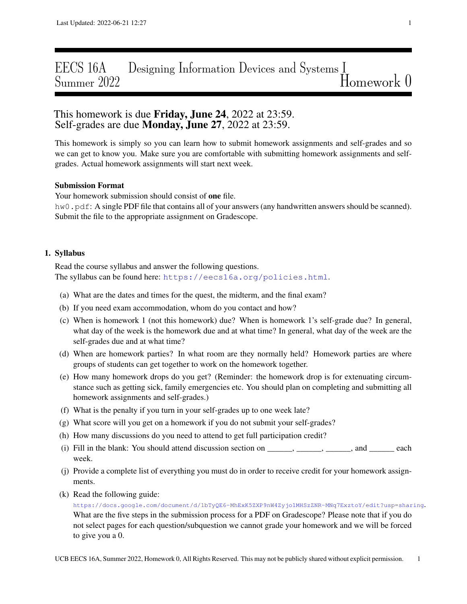# EECS 16A Designing Information Devices and Systems I Summer 2022 Summer 2022

## This homework is due **Friday, June 24**, 2022 at 23:59. Self-grades are due **Monday**, June 27, 2022 at 23:59.

This homework is simply so you can learn how to submit homework assignments and self-grades and so we can get to know you. Make sure you are comfortable with submitting homework assignments and selfgrades. Actual homework assignments will start next week.

### Submission Format

Your homework submission should consist of one file. hw0.pdf: A single PDF file that contains all of your answers (any handwritten answers should be scanned). Submit the file to the appropriate assignment on Gradescope.

#### 1. Syllabus

Read the course syllabus and answer the following questions. The syllabus can be found here: <https://eecs16a.org/policies.html>.

- (a) What are the dates and times for the quest, the midterm, and the final exam?
- (b) If you need exam accommodation, whom do you contact and how?
- (c) When is homework 1 (not this homework) due? When is homework 1's self-grade due? In general, what day of the week is the homework due and at what time? In general, what day of the week are the self-grades due and at what time?
- (d) When are homework parties? In what room are they normally held? Homework parties are where groups of students can get together to work on the homework together.
- (e) How many homework drops do you get? (Reminder: the homework drop is for extenuating circumstance such as getting sick, family emergencies etc. You should plan on completing and submitting all homework assignments and self-grades.)
- (f) What is the penalty if you turn in your self-grades up to one week late?
- (g) What score will you get on a homework if you do not submit your self-grades?
- (h) How many discussions do you need to attend to get full participation credit?
- (i) Fill in the blank: You should attend discussion section on  $\qquad \qquad$ ,  $\qquad \qquad$ , and  $\qquad$  each week.
- (j) Provide a complete list of everything you must do in order to receive credit for your homework assignments.
- (k) Read the following guide:

<https://docs.google.com/document/d/1bTyQE6-MhExK5ZXP9nW4Zyjo1MHSzZNR-MNq7ExztoY/edit?usp=sharing>. What are the five steps in the submission process for a PDF on Gradescope? Please note that if you do not select pages for each question/subquestion we cannot grade your homework and we will be forced to give you a 0.